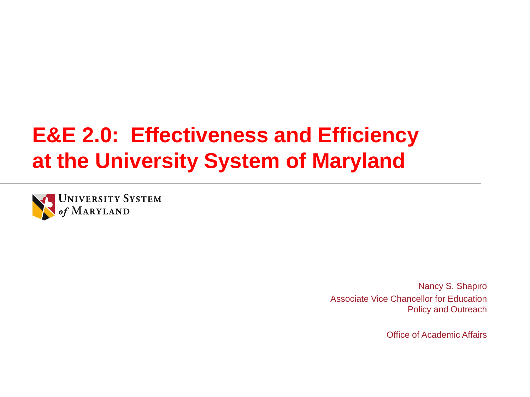### **E&E 2.0: Effectiveness and Efficiency at the University System of Maryland**



Nancy S. Shapiro Associate Vice Chancellor for Education Policy and Outreach

Office of Academic Affairs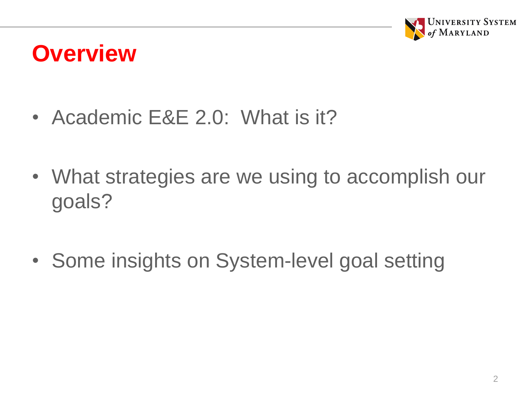

### **Overview**

- Academic E&E 2.0: What is it?
- What strategies are we using to accomplish our goals?
- Some insights on System-level goal setting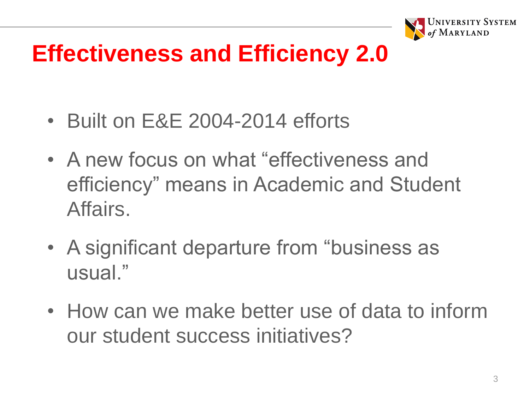

# **Effectiveness and Efficiency 2.0**

- Built on E&E 2004-2014 efforts
- A new focus on what "effectiveness and efficiency" means in Academic and Student Affairs.
- A significant departure from "business as usual."
- How can we make better use of data to inform our student success initiatives?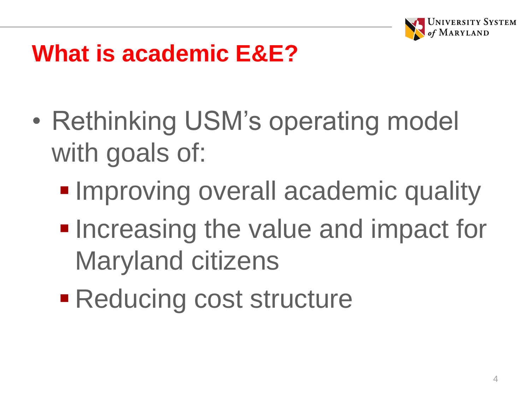

## **What is academic E&E?**

- Rethinking USM's operating model with goals of:
	- **Improving overall academic quality**
	- **Increasing the value and impact for** Maryland citizens
	- Reducing cost structure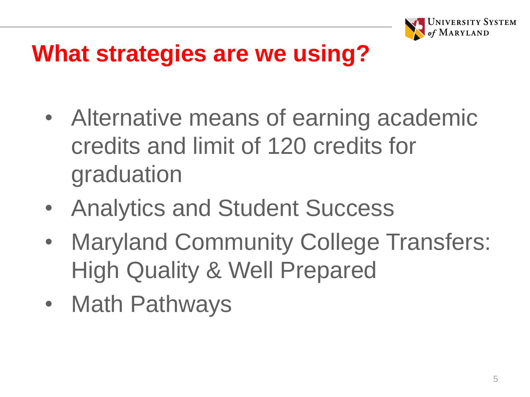

## **What strategies are we using?**

- Alternative means of earning academic credits and limit of 120 credits for graduation
- Analytics and Student Success
- Maryland Community College Transfers: High Quality & Well Prepared
- Math Pathways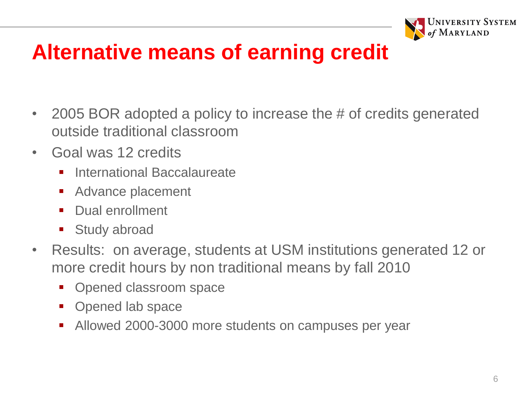

### **Alternative means of earning credit**

- 2005 BOR adopted a policy to increase the # of credits generated outside traditional classroom
- Goal was 12 credits
	- **■** International Baccalaureate
	- Advance placement
	- Dual enrollment
	- **Study abroad**
- Results: on average, students at USM institutions generated 12 or more credit hours by non traditional means by fall 2010
	- Opened classroom space
	- Opened lab space
	- Allowed 2000-3000 more students on campuses per year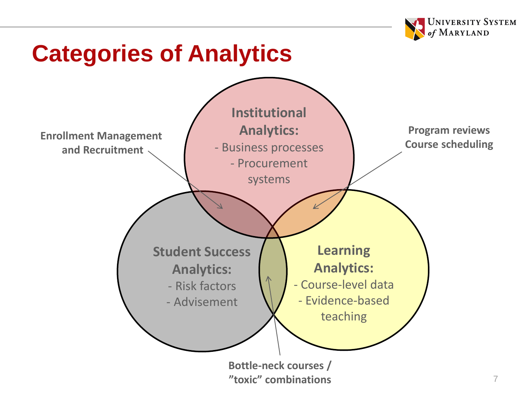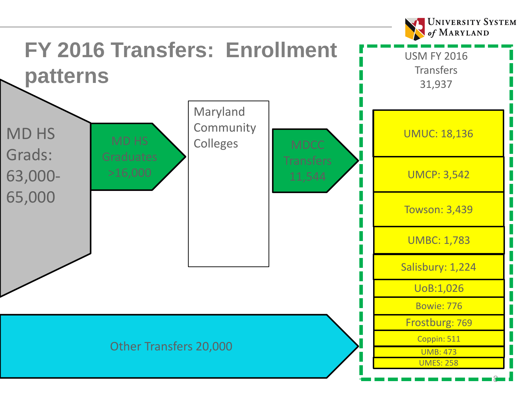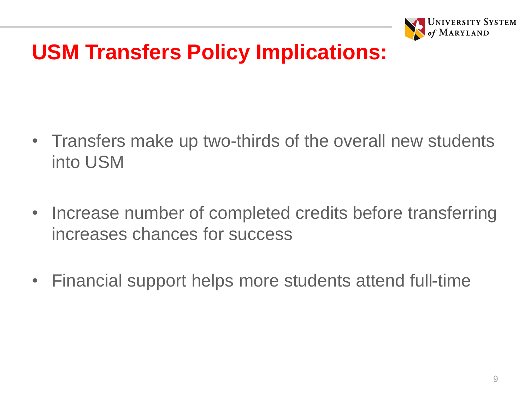

### **USM Transfers Policy Implications:**

- Transfers make up two-thirds of the overall new students into USM
- Increase number of completed credits before transferring increases chances for success
- Financial support helps more students attend full-time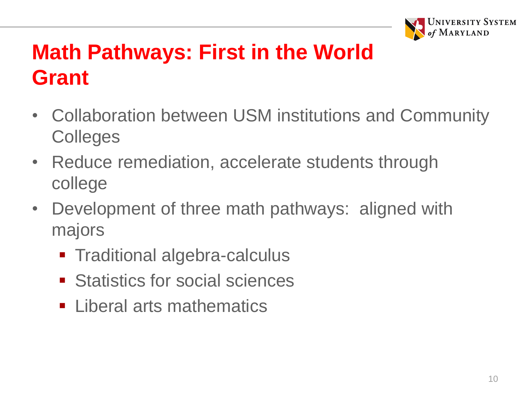

### **Math Pathways: First in the World Grant**

- Collaboration between USM institutions and Community **Colleges**
- Reduce remediation, accelerate students through college
- Development of three math pathways: aligned with majors
	- **Traditional algebra-calculus**
	- Statistics for social sciences
	- Liberal arts mathematics